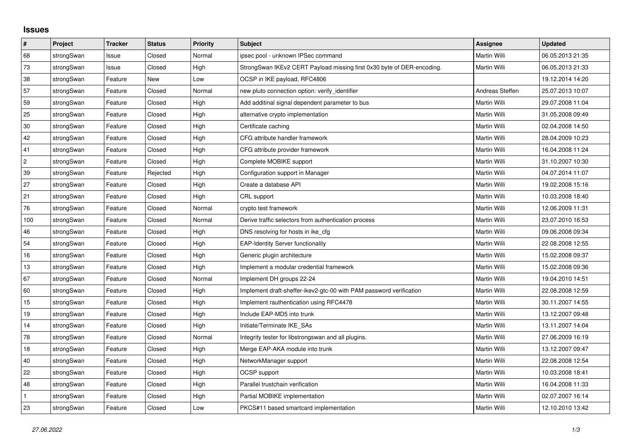## **Issues**

| $\vert$ #      | Project    | <b>Tracker</b> | <b>Status</b> | <b>Priority</b> | <b>Subject</b>                                                         | Assignee            | <b>Updated</b>   |
|----------------|------------|----------------|---------------|-----------------|------------------------------------------------------------------------|---------------------|------------------|
| 68             | strongSwan | Issue          | Closed        | Normal          | ipsec pool - unknown IPSec command                                     | Martin Willi        | 06.05.2013 21:35 |
| 73             | strongSwan | Issue          | Closed        | High            | StrongSwan IKEv2 CERT Payload missing first 0x30 byte of DER-encoding. | Martin Willi        | 06.05.2013 21:33 |
| 38             | strongSwan | Feature        | <b>New</b>    | Low             | OCSP in IKE payload, RFC4806                                           |                     | 19.12.2014 14:20 |
| 57             | strongSwan | Feature        | Closed        | Normal          | new pluto connection option: verify identifier                         | Andreas Steffen     | 25.07.2013 10:07 |
| 59             | strongSwan | Feature        | Closed        | High            | Add additinal signal dependent parameter to bus                        | Martin Willi        | 29.07.2008 11:04 |
| 25             | strongSwan | Feature        | Closed        | High            | alternative crypto implementation                                      | Martin Willi        | 31.05.2008 09:49 |
| 30             | strongSwan | Feature        | Closed        | High            | Certificate caching                                                    | Martin Willi        | 02.04.2008 14:50 |
| 42             | strongSwan | Feature        | Closed        | High            | CFG attribute handler framework                                        | Martin Willi        | 28.04.2009 10:23 |
| 41             | strongSwan | Feature        | Closed        | High            | CFG attribute provider framework                                       | Martin Willi        | 16.04.2008 11:24 |
| $\overline{c}$ | strongSwan | Feature        | Closed        | High            | Complete MOBIKE support                                                | <b>Martin Willi</b> | 31.10.2007 10:30 |
| 39             | strongSwan | Feature        | Rejected      | High            | Configuration support in Manager                                       | Martin Willi        | 04.07.2014 11:07 |
| 27             | strongSwan | Feature        | Closed        | High            | Create a database API                                                  | Martin Willi        | 19.02.2008 15:16 |
| 21             | strongSwan | Feature        | Closed        | High            | CRL support                                                            | <b>Martin Willi</b> | 10.03.2008 18:40 |
| 76             | strongSwan | Feature        | Closed        | Normal          | crypto test framework                                                  | Martin Willi        | 12.06.2009 11:31 |
| 100            | strongSwan | Feature        | Closed        | Normal          | Derive traffic selectors from authentication process                   | Martin Willi        | 23.07.2010 16:53 |
| 46             | strongSwan | Feature        | Closed        | High            | DNS resolving for hosts in ike cfg.                                    | Martin Willi        | 09.06.2008 09:34 |
| 54             | strongSwan | Feature        | Closed        | High            | <b>EAP-Identity Server functionality</b>                               | Martin Willi        | 22.08.2008 12:55 |
| 16             | strongSwan | Feature        | Closed        | High            | Generic plugin architecture                                            | Martin Willi        | 15.02.2008 09:37 |
| $13$           | strongSwan | Feature        | Closed        | High            | Implement a modular credential framework                               | Martin Willi        | 15.02.2008 09:36 |
| 67             | strongSwan | Feature        | Closed        | Normal          | Implement DH groups 22-24                                              | Martin Willi        | 19.04.2010 14:51 |
| 60             | strongSwan | Feature        | Closed        | High            | Implement draft-sheffer-ikev2-gtc-00 with PAM password verification    | Martin Willi        | 22.08.2008 12:59 |
| 15             | strongSwan | Feature        | Closed        | High            | Implement rauthentication using RFC4478                                | Martin Willi        | 30.11.2007 14:55 |
| 19             | strongSwan | Feature        | Closed        | High            | Include EAP-MD5 into trunk                                             | Martin Willi        | 13.12.2007 09:48 |
| 14             | strongSwan | Feature        | Closed        | High            | Initiate/Terminate IKE SAs                                             | Martin Willi        | 13.11.2007 14:04 |
| 78             | strongSwan | Feature        | Closed        | Normal          | Integrity tester for libstrongswan and all plugins.                    | Martin Willi        | 27.06.2009 16:19 |
| 18             | strongSwan | Feature        | Closed        | High            | Merge EAP-AKA module into trunk                                        | Martin Willi        | 13.12.2007 09:47 |
| 40             | strongSwan | Feature        | Closed        | High            | NetworkManager support                                                 | Martin Willi        | 22.08.2008 12:54 |
| 22             | strongSwan | Feature        | Closed        | High            | OCSP support                                                           | Martin Willi        | 10.03.2008 18:41 |
| 48             | strongSwan | Feature        | Closed        | High            | Parallel trustchain verification                                       | Martin Willi        | 16.04.2008 11:33 |
| $\mathbf{1}$   | strongSwan | Feature        | Closed        | High            | Partial MOBIKE implementation                                          | Martin Willi        | 02.07.2007 16:14 |
| 23             | strongSwan | Feature        | Closed        | Low             | PKCS#11 based smartcard implementation                                 | Martin Willi        | 12.10.2010 13:42 |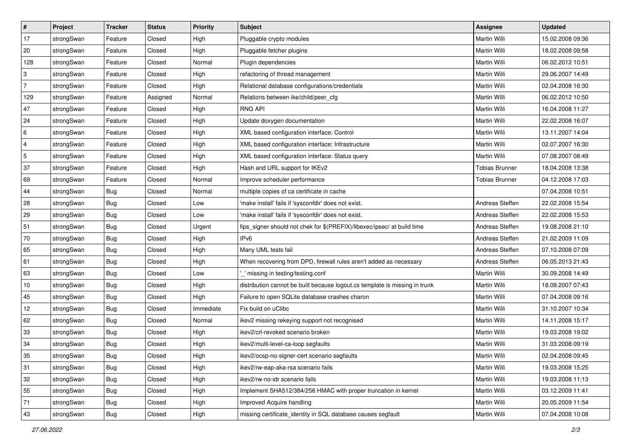| $\vert$ #      | Project    | <b>Tracker</b> | <b>Status</b> | Priority  | <b>Subject</b>                                                              | <b>Assignee</b>       | <b>Updated</b>   |
|----------------|------------|----------------|---------------|-----------|-----------------------------------------------------------------------------|-----------------------|------------------|
| 17             | strongSwan | Feature        | Closed        | High      | Pluggable crypto modules                                                    | Martin Willi          | 15.02.2008 09:36 |
| 20             | strongSwan | Feature        | Closed        | High      | Pluggable fetcher plugins                                                   | Martin Willi          | 18.02.2008 09:58 |
| 128            | strongSwan | Feature        | Closed        | Normal    | Plugin dependencies                                                         | Martin Willi          | 06.02.2012 10:51 |
| 3              | strongSwan | Feature        | Closed        | High      | refactoring of thread management                                            | Martin Willi          | 29.06.2007 14:49 |
| $\overline{7}$ | strongSwan | Feature        | Closed        | High      | Relational database configurations/credentials                              | Martin Willi          | 02.04.2008 16:30 |
| 129            | strongSwan | Feature        | Assigned      | Normal    | Relations between ike/child/peer_cfg                                        | Martin Willi          | 06.02.2012 10:50 |
| 47             | strongSwan | Feature        | Closed        | High      | <b>RNG API</b>                                                              | Martin Willi          | 16.04.2008 11:27 |
| 24             | strongSwan | Feature        | Closed        | High      | Update doxygen documentation                                                | Martin Willi          | 22.02.2008 16:07 |
| 6              | strongSwan | Feature        | Closed        | High      | XML based configuration interface: Control                                  | Martin Willi          | 13.11.2007 14:04 |
| 4              | strongSwan | Feature        | Closed        | High      | XML based configuration interface: Infrastructure                           | Martin Willi          | 02.07.2007 16:30 |
| 5              | strongSwan | Feature        | Closed        | High      | XML based configuration interface: Status query                             | Martin Willi          | 07.08.2007 08:49 |
| 37             | strongSwan | Feature        | Closed        | High      | Hash and URL support for IKEv2                                              | <b>Tobias Brunner</b> | 18.04.2008 13:38 |
| 69             | strongSwan | Feature        | Closed        | Normal    | Improve scheduler performance                                               | <b>Tobias Brunner</b> | 04.12.2008 17:03 |
| 44             | strongSwan | <b>Bug</b>     | Closed        | Normal    | multiple copies of ca certificate in cache                                  |                       | 07.04.2008 10:51 |
| 28             | strongSwan | Bug            | Closed        | Low       | 'make install' fails if 'sysconfdir' does not exist.                        | Andreas Steffen       | 22.02.2008 15:54 |
| 29             | strongSwan | <b>Bug</b>     | Closed        | Low       | 'make install' fails if 'sysconfdir' does not exist.                        | Andreas Steffen       | 22.02.2008 15:53 |
| 51             | strongSwan | <b>Bug</b>     | Closed        | Urgent    | fips_signer should not chek for \$(PREFIX)/libexec/ipsec/ at build time     | Andreas Steffen       | 19.08.2008 21:10 |
| 70             | strongSwan | Bug            | Closed        | High      | IP <sub>v6</sub>                                                            | Andreas Steffen       | 21.02.2009 11:09 |
| 65             | strongSwan | <b>Bug</b>     | Closed        | High      | Many UML tests fail                                                         | Andreas Steffen       | 07.10.2008 07:09 |
| 61             | strongSwan | <b>Bug</b>     | Closed        | High      | When recovering from DPD, firewall rules aren't added as necessary          | Andreas Steffen       | 06.05.2013 21:43 |
| 63             | strongSwan | <b>Bug</b>     | Closed        | Low       | _' missing in testing/testing.conf                                          | Martin Willi          | 30.09.2008 14:49 |
| 10             | strongSwan | <b>Bug</b>     | Closed        | High      | distribution cannot be built because logout.cs template is missing in trunk | Martin Willi          | 18.09.2007 07:43 |
| 45             | strongSwan | Bug            | Closed        | High      | Failure to open SQLite database crashes charon                              | Martin Willi          | 07.04.2008 09:16 |
| 12             | strongSwan | <b>Bug</b>     | Closed        | Immediate | Fix build on uClibc                                                         | Martin Willi          | 31.10.2007 10:34 |
| 62             | strongSwan | <b>Bug</b>     | Closed        | Normal    | ikev2 missing rekeying support not recognised                               | Martin Willi          | 14.11.2008 15:17 |
| 33             | strongSwan | <b>Bug</b>     | Closed        | High      | ikev2/crl-revoked scenario broken                                           | Martin Willi          | 19.03.2008 19:02 |
| 34             | strongSwan | Bug            | Closed        | High      | ikev2/multi-level-ca-loop segfaults                                         | Martin Willi          | 31.03.2008 09:19 |
| 35             | strongSwan | Bug            | Closed        | High      | ikev2/ocsp-no-signer-cert scenario segfaults                                | Martin Willi          | 02.04.2008 09:45 |
| 31             | strongSwan | <b>Bug</b>     | Closed        | High      | ikev2/rw-eap-aka-rsa scenario fails                                         | Martin Willi          | 19.03.2008 15:25 |
| 32             | strongSwan | Bug            | Closed        | High      | ikev2/rw-no-idr scenario fails                                              | Martin Willi          | 19.03.2008 11:13 |
| 55             | strongSwan | Bug            | Closed        | High      | Implement SHA512/384/256 HMAC with proper truncation in kernel              | Martin Willi          | 03.12.2009 11:41 |
| 71             | strongSwan | Bug            | Closed        | High      | Improved Acquire handling                                                   | Martin Willi          | 20.05.2009 11:54 |
| 43             | strongSwan | <b>Bug</b>     | Closed        | High      | missing certificate_identity in SQL database causes segfault                | Martin Willi          | 07.04.2008 10:08 |